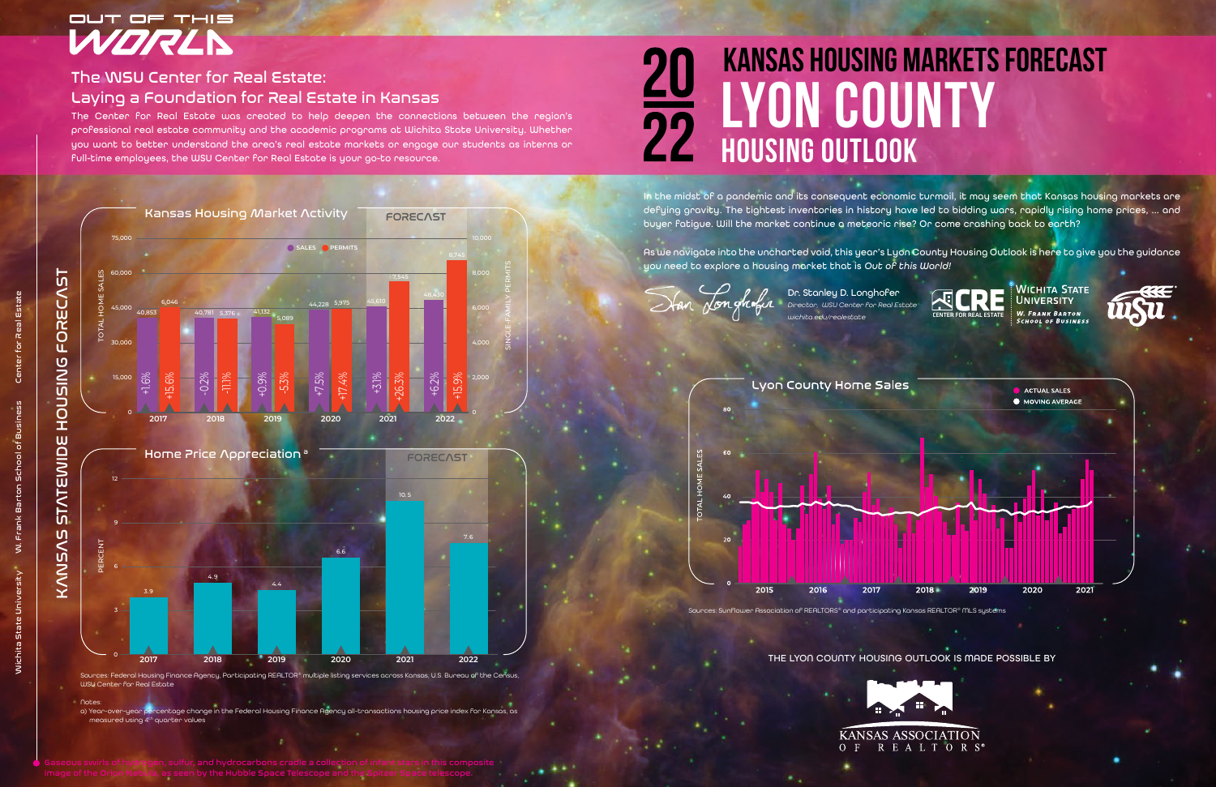2015 2016 2017 Sources: Sunflower Association of REALTORS® and participating Kansas REALTOR® MLS systems



The Center for Real Estate was created to help deepen the connections between the region's professional real estate community and the academic programs at Wichita State University. Whether you want to better understand the area's real estate markets or engage our students as interns or full-time employees, the WSU Center for Real Estate is your go-to resource.

> In the midst of a pandemic and its consequent economic turmoil, it may seem that Kansas housing markets are defying gravity. The tightest inventories in history have led to bidding wars, rapidly rising home prices, … and buyer fatigue. Will the market continue a meteoric rise? Or come crashing back to earth?

Notes: a) Year-over-year percentage change in the Federal Housing Finance Agency all-transactions housing price index for Kansas, as measured using 4<sup>th</sup> quarter values

As we navigate into the uncharted void, this year's Lyon County Housing Outlook is here to give you the guidance you need to explore a housing market that is *Out of this World!* 

-0.2  $\gg$ 

# **lyon COUNTY housing outlook kansas housing markets forecast**

Dr. Stanley D. Longhofer *Director, WSU Center for Real Estate*

#### Lyon County Home Sales



#### THE LYON COUNTY HOUSING OUTLOOK IS MADE POSSIBLE BY

## OUT OF THIS WORLN

### The WSU Center for Real Estate: Laying a Foundation for Real Estate in Kansas

 $\begin{array}{|c|c|c|}\n \hline\n 5,376 & & \text{41,132} \\
\hline\n & 5,089 & & \n\end{array}$ 

Sources: Federal Housing Finance Agency, Participating REALTOR® multiple listing services across Kansas, U.S. Bureau of the Census, WSU Center for Real Estate



.<br>ה<br>ה  $\gg$ 

6,046

5,975

7,545

**FORECAST** 

+15.6%

-11.1%

+17.4%

+26.3%

+1.6%

+0.9%

40,853 40,781 5.376 41,132

+7.5%

+3.1%

 $5^{\circ}$ 

**<sup>2017</sup> <sup>2018</sup> <sup>2019</sup> <sup>2020</sup> <sup>2021</sup> <sup>2022</sup>** <sup>0</sup>

2,000

4,000

6,000

8,000

 $-6.2%$ 

0

15,000

30,000

45,000

60,000

75,000

SINGLE-FAMILY PERMITS

TOTAL HOME SALES

Kansas Housing Market Activity

**<sup>A</sup> SALES <sup>B</sup> PERMITS**

44,228 5,975 45,610